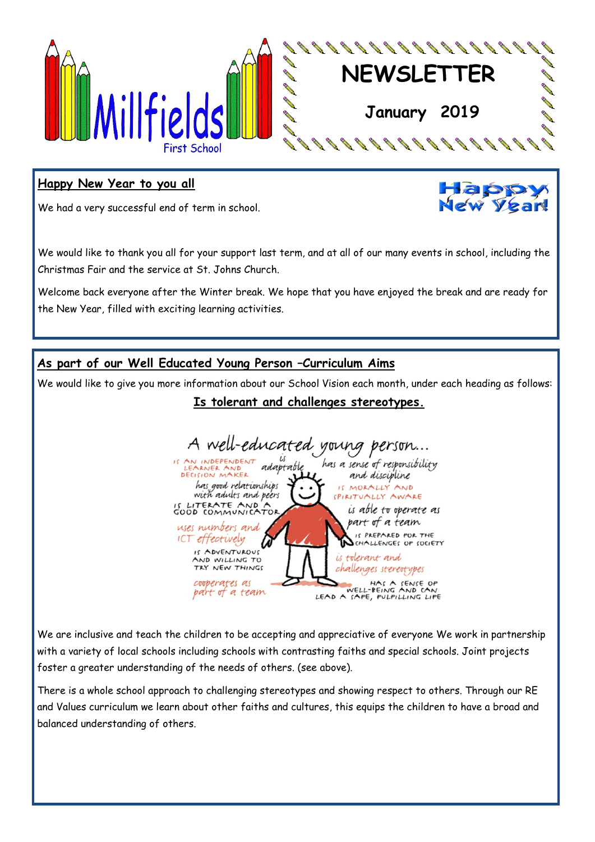

#### **Happy New Year to you all**

We had a very successful end of term in school.



We would like to thank you all for your support last term, and at all of our many events in school, including the Christmas Fair and the service at St. Johns Church.

Welcome back everyone after the Winter break. We hope that you have enjoyed the break and are ready for the New Year, filled with exciting learning activities.

#### **As part of our Well Educated Young Person –Curriculum Aims**

We would like to give you more information about our School Vision each month, under each heading as follows:

# **Is tolerant and challenges stereotypes.**



We are inclusive and teach the children to be accepting and appreciative of everyone We work in partnership with a variety of local schools including schools with contrasting faiths and special schools. Joint projects foster a greater understanding of the needs of others. (see above).

There is a whole school approach to challenging stereotypes and showing respect to others. Through our RE and Values curriculum we learn about other faiths and cultures, this equips the children to have a broad and balanced understanding of others.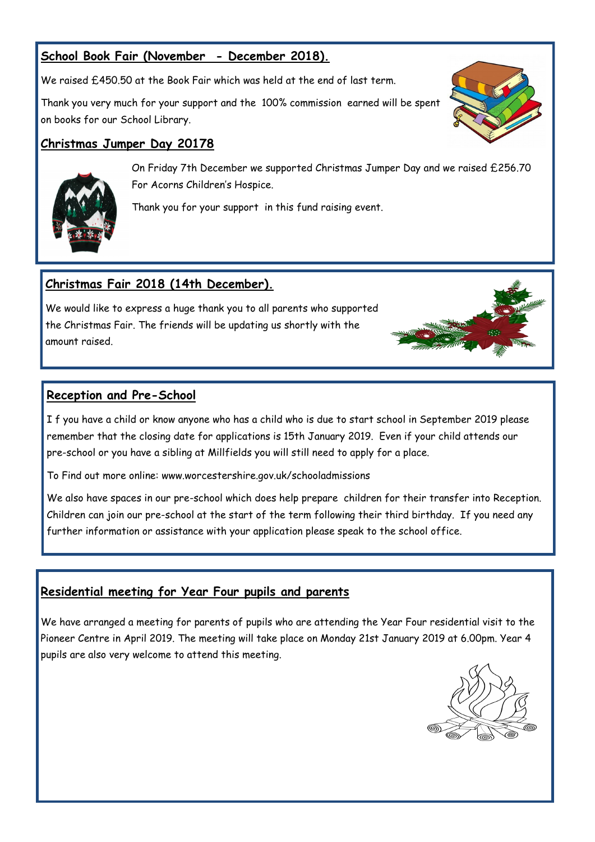# **School Book Fair (November - December 2018).**

We raised £450.50 at the Book Fair which was held at the end of last term.

Thank you very much for your support and the 100% commission earned will be spent on books for our School Library.

#### **Christmas Jumper Day 20178**





On Friday 7th December we supported Christmas Jumper Day and we raised £256.70 For Acorns Children's Hospice.

Thank you for your support in this fund raising event.

# **Christmas Fair 2018 (14th December).**

We would like to express a huge thank you to all parents who supported the Christmas Fair. The friends will be updating us shortly with the amount raised.

#### **Reception and Pre-School**

I f you have a child or know anyone who has a child who is due to start school in September 2019 please remember that the closing date for applications is 15th January 2019. Even if your child attends our pre-school or you have a sibling at Millfields you will still need to apply for a place.

To Find out more online: www.worcestershire.gov.uk/schooladmissions

We also have spaces in our pre-school which does help prepare children for their transfer into Reception. Children can join our pre-school at the start of the term following their third birthday. If you need any further information or assistance with your application please speak to the school office.

#### **Residential meeting for Year Four pupils and parents**

We have arranged a meeting for parents of pupils who are attending the Year Four residential visit to the Pioneer Centre in April 2019. The meeting will take place on Monday 21st January 2019 at 6.00pm. Year 4 pupils are also very welcome to attend this meeting.



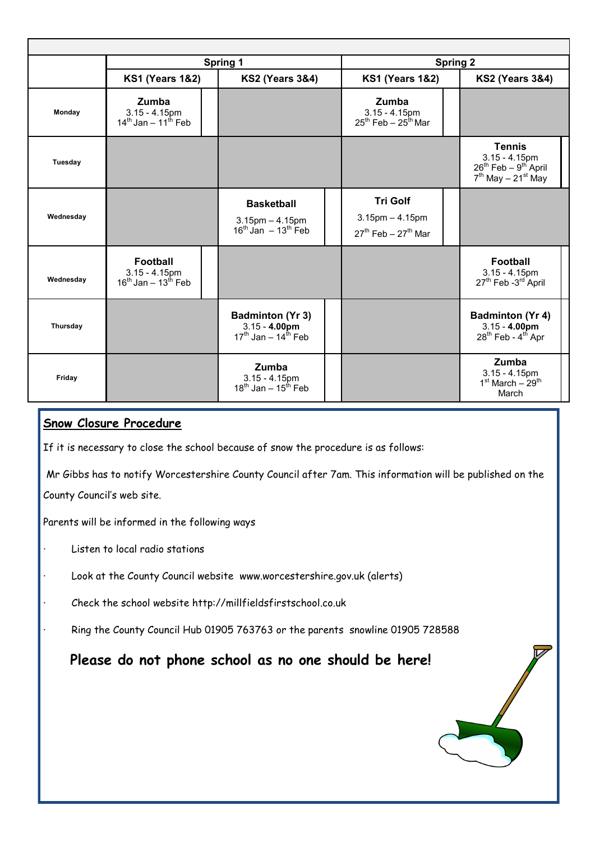|           |                                                                          | <b>Spring 1</b>                                                        |                                                                     | <b>Spring 2</b> |                                                                                               |
|-----------|--------------------------------------------------------------------------|------------------------------------------------------------------------|---------------------------------------------------------------------|-----------------|-----------------------------------------------------------------------------------------------|
|           | <b>KS1 (Years 1&amp;2)</b>                                               | <b>KS2 (Years 3&amp;4)</b>                                             | <b>KS1 (Years 1&amp;2)</b>                                          |                 | <b>KS2 (Years 3&amp;4)</b>                                                                    |
| Monday    | Zumba<br>$3.15 - 4.15$ pm<br>$14^{\text{th}}$ Jan – 11 <sup>th</sup> Feb |                                                                        | Zumba<br>$3.15 - 4.15$ pm<br>$25^{th}$ Feb - $25^{th}$ Mar          |                 |                                                                                               |
| Tuesday   |                                                                          |                                                                        |                                                                     |                 | <b>Tennis</b><br>$3.15 - 4.15$ pm<br>$26^{th}$ Feb – $9^{th}$ April<br>$7th$ May $- 21st$ May |
| Wednesday |                                                                          | <b>Basketball</b><br>$3.15$ pm $- 4.15$ pm<br>$16th$ Jan $-13th$ Feb   | <b>Tri Golf</b><br>$3.15$ pm $- 4.15$ pm<br>$27th$ Feb – $27th$ Mar |                 |                                                                                               |
| Wednesday | <b>Football</b><br>$3.15 - 4.15$ pm<br>$16^{th}$ Jan – $13^{th}$ Feb     |                                                                        |                                                                     |                 | <b>Football</b><br>$3.15 - 4.15$ pm<br>27 <sup>th</sup> Feb -3 <sup>rd</sup> April            |
| Thursday  |                                                                          | <b>Badminton (Yr 3)</b><br>$3.15 - 4.00$ pm<br>$17th$ Jan - $14th$ Feb |                                                                     |                 | <b>Badminton (Yr 4)</b><br>$3.15 - 4.00$ pm<br>28 <sup>th</sup> Feb - 4 <sup>th</sup> Apr     |
| Friday    |                                                                          | <b>Zumba</b><br>$3.15 - 4.15$ pm<br>$18^{th}$ Jan - $15^{th}$ Feb      |                                                                     |                 | Zumba<br>$3.15 - 4.15$ pm<br>$1st March - 29th$<br>March                                      |

### **Snow Closure Procedure**

If it is necessary to close the school because of snow the procedure is as follows:

Mr Gibbs has to notify Worcestershire County Council after 7am. This information will be published on the County Council's web site.

Parents will be informed in the following ways

- Listen to local radio stations
- Look at the County Council website www.worcestershire.gov.uk (alerts)
- · Check the school website http://millfieldsfirstschool.co.uk
- Ring the County Council Hub 01905 763763 or the parents snowline 01905 728588

**Please do not phone school as no one should be here!**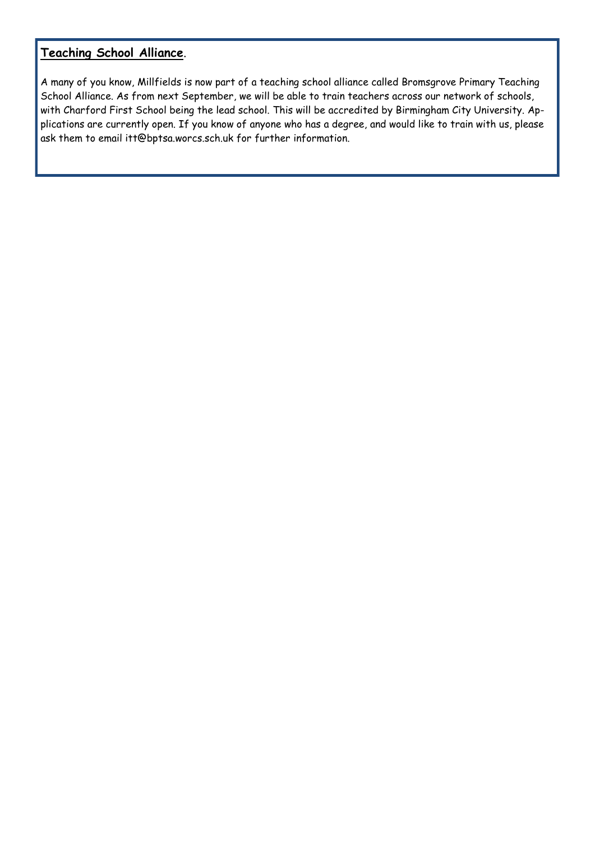# **Teaching School Alliance**.

A many of you know, Millfields is now part of a teaching school alliance called Bromsgrove Primary Teaching School Alliance. As from next September, we will be able to train teachers across our network of schools, with Charford First School being the lead school. This will be accredited by Birmingham City University. Applications are currently open. If you know of anyone who has a degree, and would like to train with us, please ask them to email itt@bptsa.worcs.sch.uk for further information.